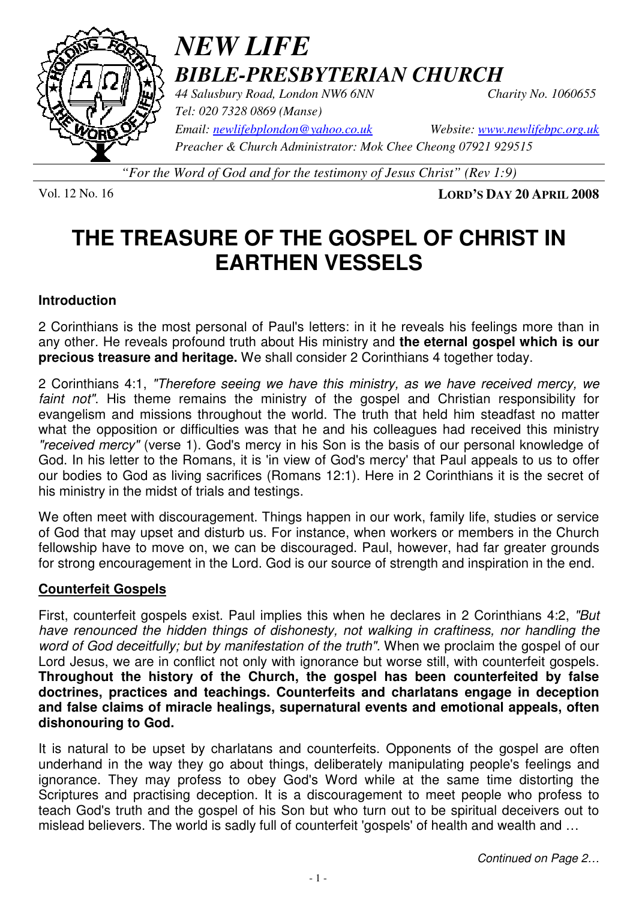

# *NEW LIFE BIBLE-PRESBYTERIAN CHURCH*

*44 Salusbury Road, London NW6 6NN Charity No. 1060655 Tel: 020 7328 0869 (Manse)* 

*Email: newlifebplondon@yahoo.co.uk Website: www.newlifebpc.org.uk Preacher & Church Administrator: Mok Chee Cheong 07921 929515* 

*"For the Word of God and for the testimony of Jesus Christ" (Rev 1:9)*

Vol. 12 No. 16 **LORD'S DAY 20 APRIL 2008**

# **THE TREASURE OF THE GOSPEL OF CHRIST IN EARTHEN VESSELS**

### **Introduction**

2 Corinthians is the most personal of Paul's letters: in it he reveals his feelings more than in any other. He reveals profound truth about His ministry and **the eternal gospel which is our precious treasure and heritage.** We shall consider 2 Corinthians 4 together today.

2 Corinthians 4:1, "Therefore seeing we have this ministry, as we have received mercy, we faint not". His theme remains the ministry of the gospel and Christian responsibility for evangelism and missions throughout the world. The truth that held him steadfast no matter what the opposition or difficulties was that he and his colleagues had received this ministry "received mercy" (verse 1). God's mercy in his Son is the basis of our personal knowledge of God. In his letter to the Romans, it is 'in view of God's mercy' that Paul appeals to us to offer our bodies to God as living sacrifices (Romans 12:1). Here in 2 Corinthians it is the secret of his ministry in the midst of trials and testings.

We often meet with discouragement. Things happen in our work, family life, studies or service of God that may upset and disturb us. For instance, when workers or members in the Church fellowship have to move on, we can be discouraged. Paul, however, had far greater grounds for strong encouragement in the Lord. God is our source of strength and inspiration in the end.

## **Counterfeit Gospels**

First, counterfeit gospels exist. Paul implies this when he declares in 2 Corinthians 4:2, "But have renounced the hidden things of dishonesty, not walking in craftiness, nor handling the word of God deceitfully; but by manifestation of the truth". When we proclaim the gospel of our Lord Jesus, we are in conflict not only with ignorance but worse still, with counterfeit gospels. **Throughout the history of the Church, the gospel has been counterfeited by false doctrines, practices and teachings. Counterfeits and charlatans engage in deception and false claims of miracle healings, supernatural events and emotional appeals, often dishonouring to God.** 

It is natural to be upset by charlatans and counterfeits. Opponents of the gospel are often underhand in the way they go about things, deliberately manipulating people's feelings and ignorance. They may profess to obey God's Word while at the same time distorting the Scriptures and practising deception. It is a discouragement to meet people who profess to teach God's truth and the gospel of his Son but who turn out to be spiritual deceivers out to mislead believers. The world is sadly full of counterfeit 'gospels' of health and wealth and …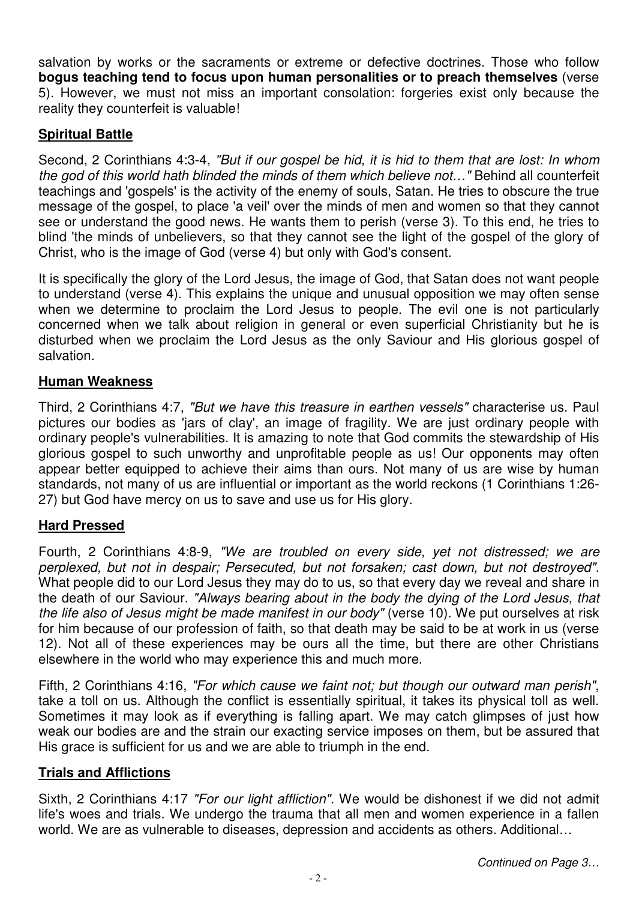salvation by works or the sacraments or extreme or defective doctrines. Those who follow **bogus teaching tend to focus upon human personalities or to preach themselves** (verse 5). However, we must not miss an important consolation: forgeries exist only because the reality they counterfeit is valuable!

# **Spiritual Battle**

Second, 2 Corinthians 4:3-4, "But if our gospel be hid, it is hid to them that are lost: In whom the god of this world hath blinded the minds of them which believe not…" Behind all counterfeit teachings and 'gospels' is the activity of the enemy of souls, Satan. He tries to obscure the true message of the gospel, to place 'a veil' over the minds of men and women so that they cannot see or understand the good news. He wants them to perish (verse 3). To this end, he tries to blind 'the minds of unbelievers, so that they cannot see the light of the gospel of the glory of Christ, who is the image of God (verse 4) but only with God's consent.

It is specifically the glory of the Lord Jesus, the image of God, that Satan does not want people to understand (verse 4). This explains the unique and unusual opposition we may often sense when we determine to proclaim the Lord Jesus to people. The evil one is not particularly concerned when we talk about religion in general or even superficial Christianity but he is disturbed when we proclaim the Lord Jesus as the only Saviour and His glorious gospel of salvation.

## **Human Weakness**

Third, 2 Corinthians 4:7, "But we have this treasure in earthen vessels" characterise us. Paul pictures our bodies as 'jars of clay', an image of fragility. We are just ordinary people with ordinary people's vulnerabilities. It is amazing to note that God commits the stewardship of His glorious gospel to such unworthy and unprofitable people as us! Our opponents may often appear better equipped to achieve their aims than ours. Not many of us are wise by human standards, not many of us are influential or important as the world reckons (1 Corinthians 1:26- 27) but God have mercy on us to save and use us for His glory.

#### **Hard Pressed**

Fourth, 2 Corinthians 4:8-9, "We are troubled on every side, yet not distressed; we are perplexed, but not in despair; Persecuted, but not forsaken; cast down, but not destroyed". What people did to our Lord Jesus they may do to us, so that every day we reveal and share in the death of our Saviour. "Always bearing about in the body the dying of the Lord Jesus, that the life also of Jesus might be made manifest in our body" (verse 10). We put ourselves at risk for him because of our profession of faith, so that death may be said to be at work in us (verse 12). Not all of these experiences may be ours all the time, but there are other Christians elsewhere in the world who may experience this and much more.

Fifth, 2 Corinthians 4:16, "For which cause we faint not; but though our outward man perish", take a toll on us. Although the conflict is essentially spiritual, it takes its physical toll as well. Sometimes it may look as if everything is falling apart. We may catch glimpses of just how weak our bodies are and the strain our exacting service imposes on them, but be assured that His grace is sufficient for us and we are able to triumph in the end.

#### **Trials and Afflictions**

Sixth, 2 Corinthians 4:17 "For our light affliction". We would be dishonest if we did not admit life's woes and trials. We undergo the trauma that all men and women experience in a fallen world. We are as vulnerable to diseases, depression and accidents as others. Additional…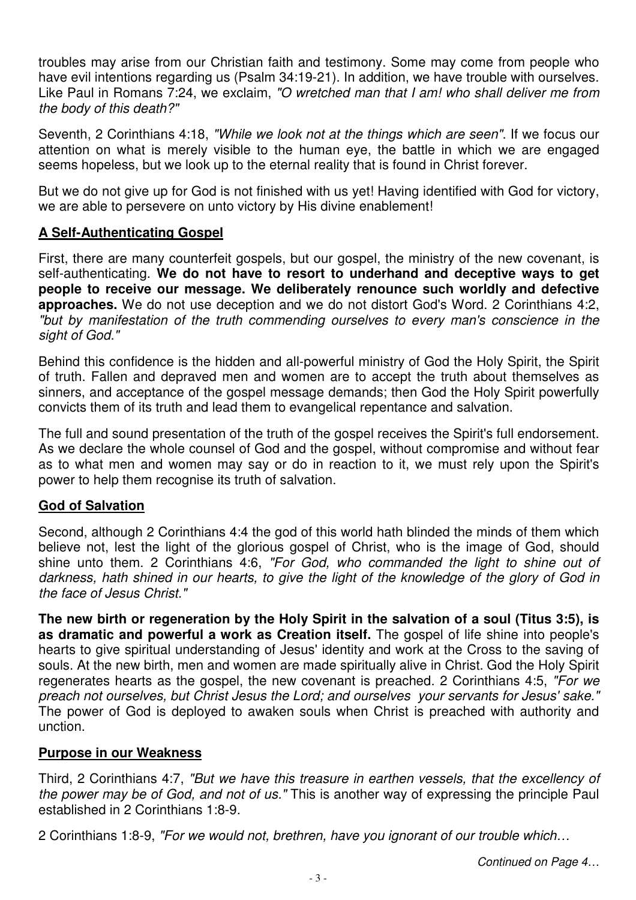troubles may arise from our Christian faith and testimony. Some may come from people who have evil intentions regarding us (Psalm 34:19-21). In addition, we have trouble with ourselves. Like Paul in Romans 7:24, we exclaim, "O wretched man that I am! who shall deliver me from the body of this death?"

Seventh, 2 Corinthians 4:18, "While we look not at the things which are seen". If we focus our attention on what is merely visible to the human eye, the battle in which we are engaged seems hopeless, but we look up to the eternal reality that is found in Christ forever.

But we do not give up for God is not finished with us yet! Having identified with God for victory, we are able to persevere on unto victory by His divine enablement!

### **A Self-Authenticating Gospel**

First, there are many counterfeit gospels, but our gospel, the ministry of the new covenant, is self-authenticating. **We do not have to resort to underhand and deceptive ways to get people to receive our message. We deliberately renounce such worldly and defective approaches.** We do not use deception and we do not distort God's Word. 2 Corinthians 4:2, "but by manifestation of the truth commending ourselves to every man's conscience in the sight of God."

Behind this confidence is the hidden and all-powerful ministry of God the Holy Spirit, the Spirit of truth. Fallen and depraved men and women are to accept the truth about themselves as sinners, and acceptance of the gospel message demands; then God the Holy Spirit powerfully convicts them of its truth and lead them to evangelical repentance and salvation.

The full and sound presentation of the truth of the gospel receives the Spirit's full endorsement. As we declare the whole counsel of God and the gospel, without compromise and without fear as to what men and women may say or do in reaction to it, we must rely upon the Spirit's power to help them recognise its truth of salvation.

## **God of Salvation**

Second, although 2 Corinthians 4:4 the god of this world hath blinded the minds of them which believe not, lest the light of the glorious gospel of Christ, who is the image of God, should shine unto them. 2 Corinthians 4:6, "For God, who commanded the light to shine out of darkness, hath shined in our hearts, to give the light of the knowledge of the glory of God in the face of Jesus Christ."

**The new birth or regeneration by the Holy Spirit in the salvation of a soul (Titus 3:5), is as dramatic and powerful a work as Creation itself.** The gospel of life shine into people's hearts to give spiritual understanding of Jesus' identity and work at the Cross to the saving of souls. At the new birth, men and women are made spiritually alive in Christ. God the Holy Spirit regenerates hearts as the gospel, the new covenant is preached. 2 Corinthians 4:5, "For we preach not ourselves, but Christ Jesus the Lord; and ourselves your servants for Jesus' sake." The power of God is deployed to awaken souls when Christ is preached with authority and unction.

#### **Purpose in our Weakness**

Third, 2 Corinthians 4:7, "But we have this treasure in earthen vessels, that the excellency of the power may be of God, and not of us." This is another way of expressing the principle Paul established in 2 Corinthians 1:8-9.

2 Corinthians 1:8-9, "For we would not, brethren, have you ignorant of our trouble which…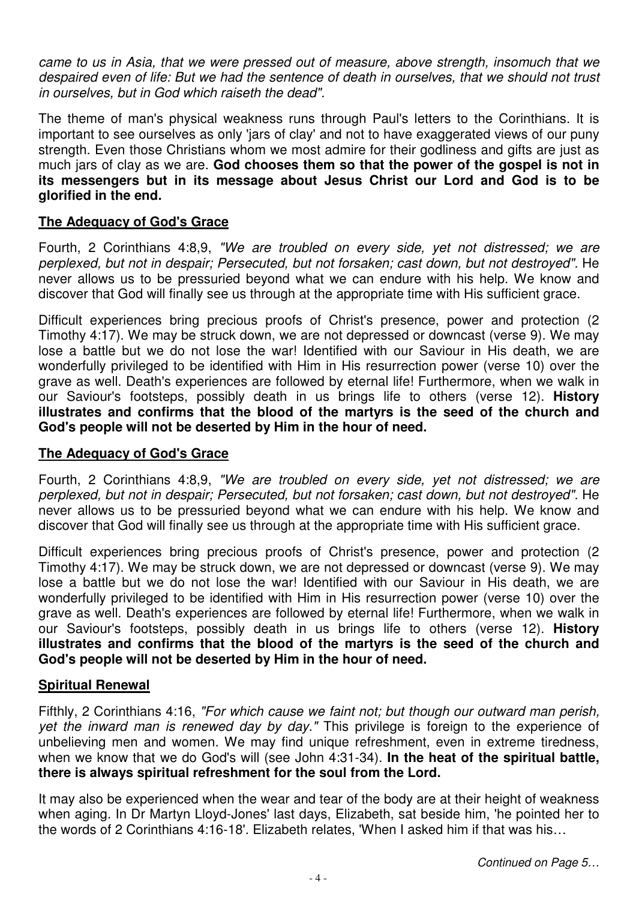came to us in Asia, that we were pressed out of measure, above strength, insomuch that we despaired even of life: But we had the sentence of death in ourselves, that we should not trust in ourselves, but in God which raiseth the dead".

The theme of man's physical weakness runs through Paul's letters to the Corinthians. It is important to see ourselves as only 'jars of clay' and not to have exaggerated views of our puny strength. Even those Christians whom we most admire for their godliness and gifts are just as much jars of clay as we are. **God chooses them so that the power of the gospel is not in its messengers but in its message about Jesus Christ our Lord and God is to be glorified in the end.**

#### **The Adequacy of God's Grace**

Fourth, 2 Corinthians 4:8,9, "We are troubled on every side, yet not distressed; we are perplexed, but not in despair; Persecuted, but not forsaken; cast down, but not destroyed". He never allows us to be pressuried beyond what we can endure with his help. We know and discover that God will finally see us through at the appropriate time with His sufficient grace.

Difficult experiences bring precious proofs of Christ's presence, power and protection (2 Timothy 4:17). We may be struck down, we are not depressed or downcast (verse 9). We may lose a battle but we do not lose the war! Identified with our Saviour in His death, we are wonderfully privileged to be identified with Him in His resurrection power (verse 10) over the grave as well. Death's experiences are followed by eternal life! Furthermore, when we walk in our Saviour's footsteps, possibly death in us brings life to others (verse 12). **History illustrates and confirms that the blood of the martyrs is the seed of the church and God's people will not be deserted by Him in the hour of need.** 

#### **The Adequacy of God's Grace**

Fourth, 2 Corinthians 4:8,9, "We are troubled on every side, yet not distressed; we are perplexed, but not in despair; Persecuted, but not forsaken; cast down, but not destroyed". He never allows us to be pressuried beyond what we can endure with his help. We know and discover that God will finally see us through at the appropriate time with His sufficient grace.

Difficult experiences bring precious proofs of Christ's presence, power and protection (2 Timothy 4:17). We may be struck down, we are not depressed or downcast (verse 9). We may lose a battle but we do not lose the war! Identified with our Saviour in His death, we are wonderfully privileged to be identified with Him in His resurrection power (verse 10) over the grave as well. Death's experiences are followed by eternal life! Furthermore, when we walk in our Saviour's footsteps, possibly death in us brings life to others (verse 12). **History illustrates and confirms that the blood of the martyrs is the seed of the church and God's people will not be deserted by Him in the hour of need.** 

#### **Spiritual Renewal**

Fifthly, 2 Corinthians 4:16, "For which cause we faint not; but though our outward man perish, yet the inward man is renewed day by day." This privilege is foreign to the experience of unbelieving men and women. We may find unique refreshment, even in extreme tiredness, when we know that we do God's will (see John 4:31-34). **In the heat of the spiritual battle, there is always spiritual refreshment for the soul from the Lord.**

It may also be experienced when the wear and tear of the body are at their height of weakness when aging. In Dr Martyn Lloyd-Jones' last days, Elizabeth, sat beside him, 'he pointed her to the words of 2 Corinthians 4:16-18'. Elizabeth relates, 'When I asked him if that was his…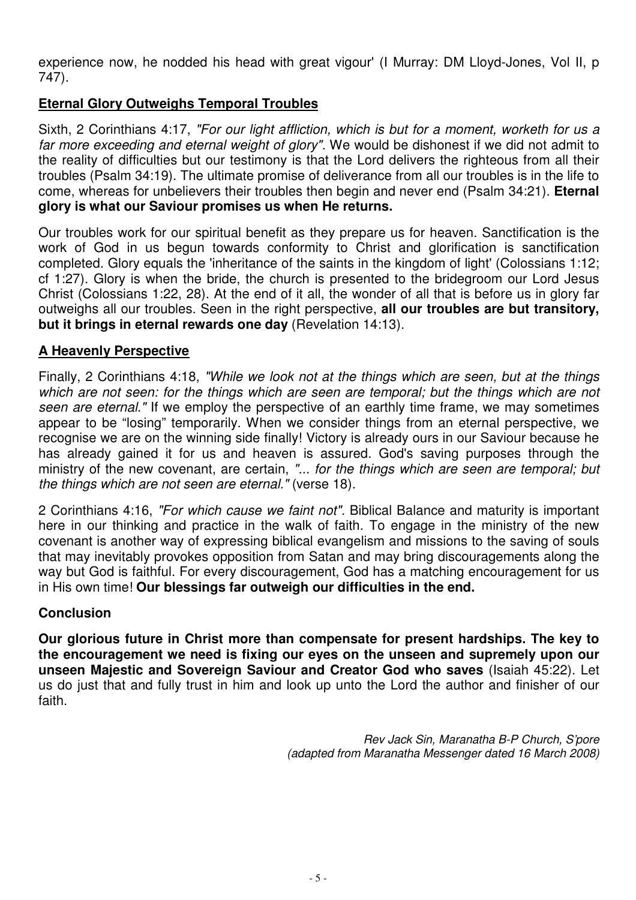experience now, he nodded his head with great vigour' (I Murray: DM Lloyd-Jones, Vol II, p 747).

### **Eternal Glory Outweighs Temporal Troubles**

Sixth, 2 Corinthians 4:17, "For our light affliction, which is but for a moment, worketh for us a far more exceeding and eternal weight of glory". We would be dishonest if we did not admit to the reality of difficulties but our testimony is that the Lord delivers the righteous from all their troubles (Psalm 34:19). The ultimate promise of deliverance from all our troubles is in the life to come, whereas for unbelievers their troubles then begin and never end (Psalm 34:21). **Eternal glory is what our Saviour promises us when He returns.**

Our troubles work for our spiritual benefit as they prepare us for heaven. Sanctification is the work of God in us begun towards conformity to Christ and glorification is sanctification completed. Glory equals the 'inheritance of the saints in the kingdom of light' (Colossians 1:12; cf 1:27). Glory is when the bride, the church is presented to the bridegroom our Lord Jesus Christ (Colossians 1:22, 28). At the end of it all, the wonder of all that is before us in glory far outweighs all our troubles. Seen in the right perspective, **all our troubles are but transitory, but it brings in eternal rewards one day** (Revelation 14:13).

#### **A Heavenly Perspective**

Finally, 2 Corinthians 4:18, "While we look not at the things which are seen, but at the things which are not seen: for the things which are seen are temporal; but the things which are not seen are eternal." If we employ the perspective of an earthly time frame, we may sometimes appear to be "losing" temporarily. When we consider things from an eternal perspective, we recognise we are on the winning side finally! Victory is already ours in our Saviour because he has already gained it for us and heaven is assured. God's saving purposes through the ministry of the new covenant, are certain, "... for the things which are seen are temporal; but the things which are not seen are eternal." (verse 18).

2 Corinthians 4:16, "For which cause we faint not". Biblical Balance and maturity is important here in our thinking and practice in the walk of faith. To engage in the ministry of the new covenant is another way of expressing biblical evangelism and missions to the saving of souls that may inevitably provokes opposition from Satan and may bring discouragements along the way but God is faithful. For every discouragement, God has a matching encouragement for us in His own time! **Our blessings far outweigh our difficulties in the end.**

#### **Conclusion**

**Our glorious future in Christ more than compensate for present hardships. The key to the encouragement we need is fixing our eyes on the unseen and supremely upon our unseen Majestic and Sovereign Saviour and Creator God who saves** (Isaiah 45:22). Let us do just that and fully trust in him and look up unto the Lord the author and finisher of our faith.

> Rev Jack Sin, Maranatha B-P Church, S'pore (adapted from Maranatha Messenger dated 16 March 2008)